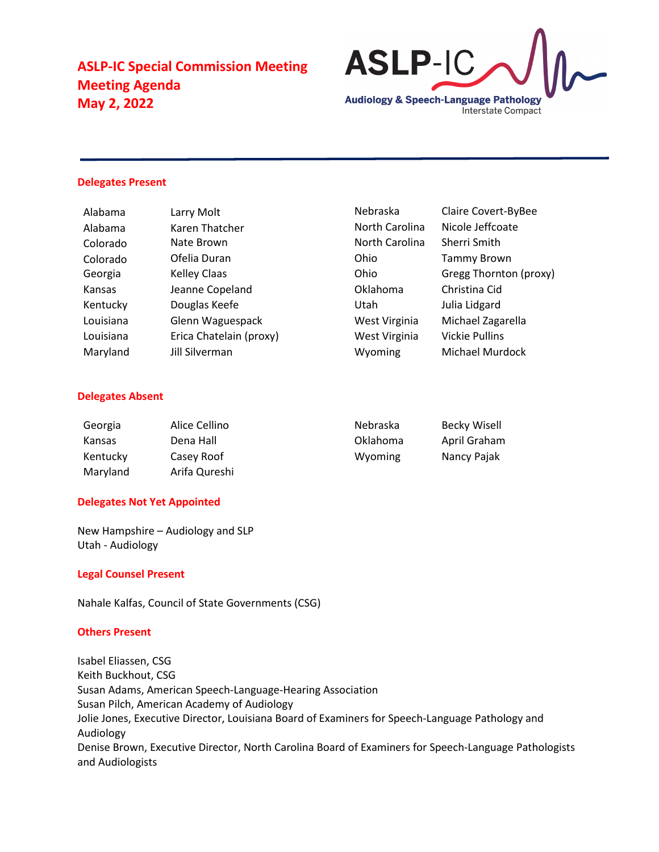

#### **Delegates Present**

| Alabama   | Larry Molt              | Nebraska       | Claire Covert-ByBee    |
|-----------|-------------------------|----------------|------------------------|
| Alabama   | Karen Thatcher          | North Carolina | Nicole Jeffcoate       |
| Colorado  | Nate Brown              | North Carolina | Sherri Smith           |
| Colorado  | Ofelia Duran            | Ohio           | <b>Tammy Brown</b>     |
| Georgia   | <b>Kelley Claas</b>     | Ohio           | Gregg Thornton (proxy) |
| Kansas    | Jeanne Copeland         | Oklahoma       | Christina Cid          |
| Kentucky  | Douglas Keefe           | Utah           | Julia Lidgard          |
| Louisiana | Glenn Waguespack        | West Virginia  | Michael Zagarella      |
| Louisiana | Erica Chatelain (proxy) | West Virginia  | <b>Vickie Pullins</b>  |
| Maryland  | Jill Silverman          | Wyoming        | Michael Murdock        |

#### **Delegates Absent**

| Georgia  | Alice Cellino | Nebraska | Becky Wisell |
|----------|---------------|----------|--------------|
| Kansas   | Dena Hall     | Oklahoma | April Graham |
| Kentucky | Casey Roof    | Wyoming  | Nancy Pajak  |
| Maryland | Arifa Qureshi |          |              |

#### **Delegates Not Yet Appointed**

New Hampshire – Audiology and SLP Utah - Audiology

#### **Legal Counsel Present**

Nahale Kalfas, Council of State Governments (CSG)

#### **Others Present**

Isabel Eliassen, CSG Keith Buckhout, CSG Susan Adams, American Speech-Language-Hearing Association Susan Pilch, American Academy of Audiology Jolie Jones, Executive Director, Louisiana Board of Examiners for Speech-Language Pathology and Audiology Denise Brown, Executive Director, North Carolina Board of Examiners for Speech-Language Pathologists and Audiologists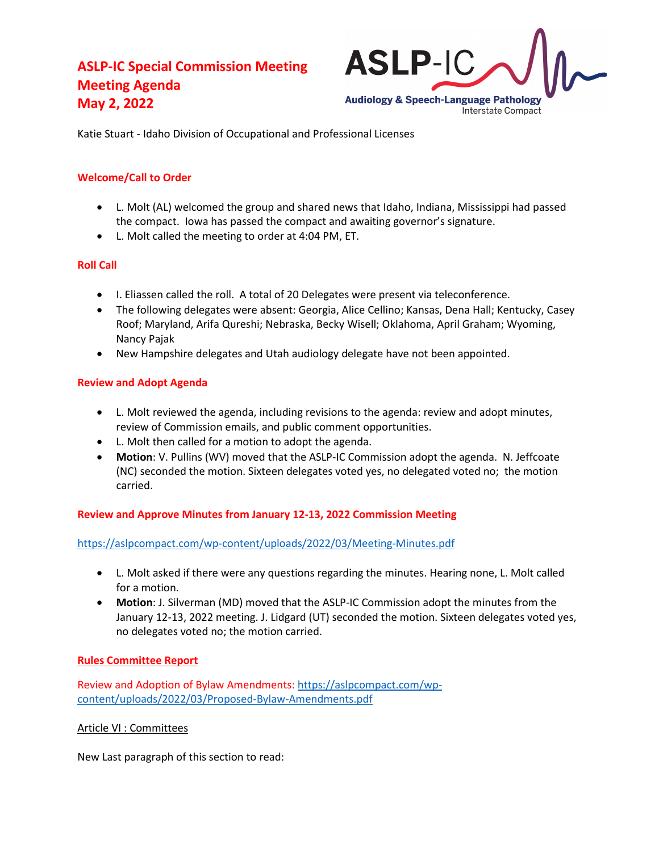

Katie Stuart - Idaho Division of Occupational and Professional Licenses

## **Welcome/Call to Order**

- L. Molt (AL) welcomed the group and shared news that Idaho, Indiana, Mississippi had passed the compact. Iowa has passed the compact and awaiting governor's signature.
- L. Molt called the meeting to order at 4:04 PM, ET.

## **Roll Call**

- I. Eliassen called the roll. A total of 20 Delegates were present via teleconference.
- The following delegates were absent: Georgia, Alice Cellino; Kansas, Dena Hall; Kentucky, Casey Roof; Maryland, Arifa Qureshi; Nebraska, Becky Wisell; Oklahoma, April Graham; Wyoming, Nancy Pajak
- New Hampshire delegates and Utah audiology delegate have not been appointed.

### **Review and Adopt Agenda**

- L. Molt reviewed the agenda, including revisions to the agenda: review and adopt minutes, review of Commission emails, and public comment opportunities.
- L. Molt then called for a motion to adopt the agenda.
- **Motion**: V. Pullins (WV) moved that the ASLP-IC Commission adopt the agenda. N. Jeffcoate (NC) seconded the motion. Sixteen delegates voted yes, no delegated voted no; the motion carried.

## **Review and Approve Minutes from January 12-13, 2022 Commission Meeting**

<https://aslpcompact.com/wp-content/uploads/2022/03/Meeting-Minutes.pdf>

- L. Molt asked if there were any questions regarding the minutes. Hearing none, L. Molt called for a motion.
- **Motion**: J. Silverman (MD) moved that the ASLP-IC Commission adopt the minutes from the January 12-13, 2022 meeting. J. Lidgard (UT) seconded the motion. Sixteen delegates voted yes, no delegates voted no; the motion carried.

## **Rules Committee Report**

Review and Adoption of Bylaw Amendments[: https://aslpcompact.com/wp](https://aslpcompact.com/wp-content/uploads/2022/03/Proposed-Bylaw-Amendments.pdf)[content/uploads/2022/03/Proposed-Bylaw-Amendments.pdf](https://aslpcompact.com/wp-content/uploads/2022/03/Proposed-Bylaw-Amendments.pdf)

### Article VI : Committees

New Last paragraph of this section to read: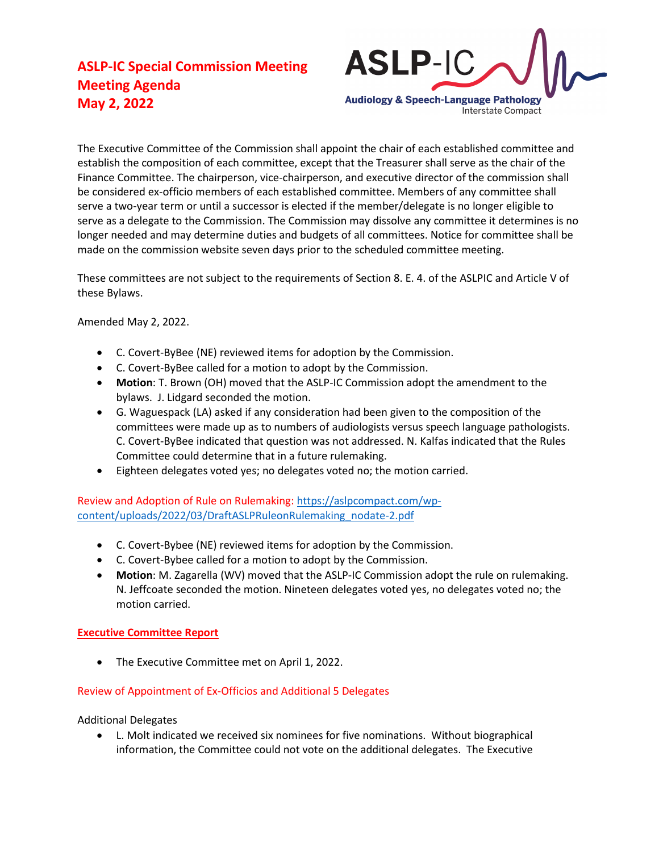

The Executive Committee of the Commission shall appoint the chair of each established committee and establish the composition of each committee, except that the Treasurer shall serve as the chair of the Finance Committee. The chairperson, vice-chairperson, and executive director of the commission shall be considered ex-officio members of each established committee. Members of any committee shall serve a two-year term or until a successor is elected if the member/delegate is no longer eligible to serve as a delegate to the Commission. The Commission may dissolve any committee it determines is no longer needed and may determine duties and budgets of all committees. Notice for committee shall be made on the commission website seven days prior to the scheduled committee meeting.

These committees are not subject to the requirements of Section 8. E. 4. of the ASLPIC and Article V of these Bylaws.

Amended May 2, 2022.

- C. Covert-ByBee (NE) reviewed items for adoption by the Commission.
- C. Covert-ByBee called for a motion to adopt by the Commission.
- **Motion**: T. Brown (OH) moved that the ASLP-IC Commission adopt the amendment to the bylaws. J. Lidgard seconded the motion.
- G. Waguespack (LA) asked if any consideration had been given to the composition of the committees were made up as to numbers of audiologists versus speech language pathologists. C. Covert-ByBee indicated that question was not addressed. N. Kalfas indicated that the Rules Committee could determine that in a future rulemaking.
- Eighteen delegates voted yes; no delegates voted no; the motion carried.

Review and Adoption of Rule on Rulemaking[: https://aslpcompact.com/wp](https://aslpcompact.com/wp-content/uploads/2022/03/DraftASLPRuleonRulemaking_nodate-2.pdf)[content/uploads/2022/03/DraftASLPRuleonRulemaking\\_nodate-2.pdf](https://aslpcompact.com/wp-content/uploads/2022/03/DraftASLPRuleonRulemaking_nodate-2.pdf)

- C. Covert-Bybee (NE) reviewed items for adoption by the Commission.
- C. Covert-Bybee called for a motion to adopt by the Commission.
- **Motion**: M. Zagarella (WV) moved that the ASLP-IC Commission adopt the rule on rulemaking. N. Jeffcoate seconded the motion. Nineteen delegates voted yes, no delegates voted no; the motion carried.

### **Executive Committee Report**

• The Executive Committee met on April 1, 2022.

### Review of Appointment of Ex-Officios and Additional 5 Delegates

Additional Delegates

• L. Molt indicated we received six nominees for five nominations. Without biographical information, the Committee could not vote on the additional delegates. The Executive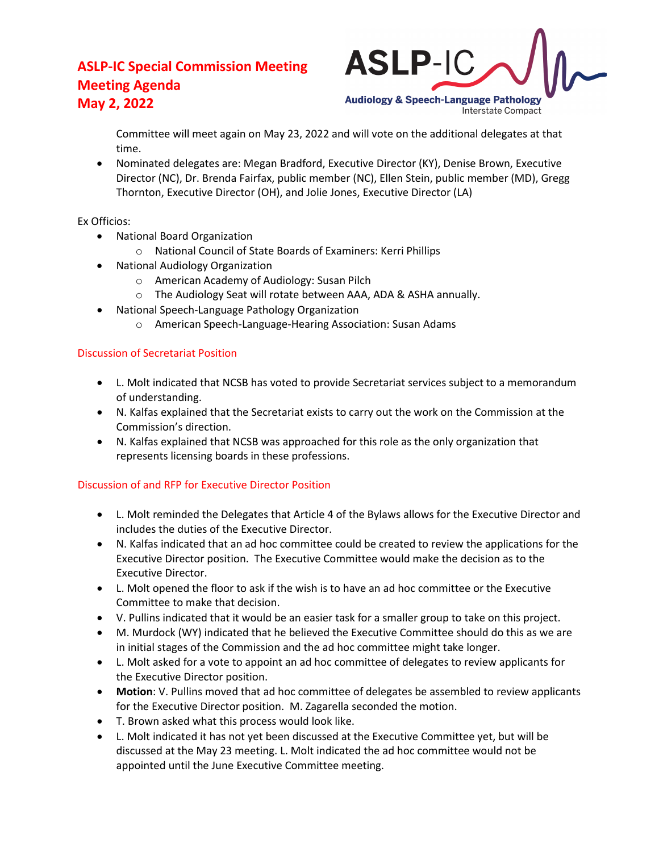

Committee will meet again on May 23, 2022 and will vote on the additional delegates at that time.

• Nominated delegates are: Megan Bradford, Executive Director (KY), Denise Brown, Executive Director (NC), Dr. Brenda Fairfax, public member (NC), Ellen Stein, public member (MD), Gregg Thornton, Executive Director (OH), and Jolie Jones, Executive Director (LA)

## Ex Officios:

- National Board Organization
	- o National Council of State Boards of Examiners: Kerri Phillips
- National Audiology Organization
	- o American Academy of Audiology: Susan Pilch
	- o The Audiology Seat will rotate between AAA, ADA & ASHA annually.
- National Speech-Language Pathology Organization
	- o American Speech-Language-Hearing Association: Susan Adams

## Discussion of Secretariat Position

- L. Molt indicated that NCSB has voted to provide Secretariat services subject to a memorandum of understanding.
- N. Kalfas explained that the Secretariat exists to carry out the work on the Commission at the Commission's direction.
- N. Kalfas explained that NCSB was approached for this role as the only organization that represents licensing boards in these professions.

## Discussion of and RFP for Executive Director Position

- L. Molt reminded the Delegates that Article 4 of the Bylaws allows for the Executive Director and includes the duties of the Executive Director.
- N. Kalfas indicated that an ad hoc committee could be created to review the applications for the Executive Director position. The Executive Committee would make the decision as to the Executive Director.
- L. Molt opened the floor to ask if the wish is to have an ad hoc committee or the Executive Committee to make that decision.
- V. Pullins indicated that it would be an easier task for a smaller group to take on this project.
- M. Murdock (WY) indicated that he believed the Executive Committee should do this as we are in initial stages of the Commission and the ad hoc committee might take longer.
- L. Molt asked for a vote to appoint an ad hoc committee of delegates to review applicants for the Executive Director position.
- **Motion**: V. Pullins moved that ad hoc committee of delegates be assembled to review applicants for the Executive Director position. M. Zagarella seconded the motion.
- T. Brown asked what this process would look like.
- L. Molt indicated it has not yet been discussed at the Executive Committee yet, but will be discussed at the May 23 meeting. L. Molt indicated the ad hoc committee would not be appointed until the June Executive Committee meeting.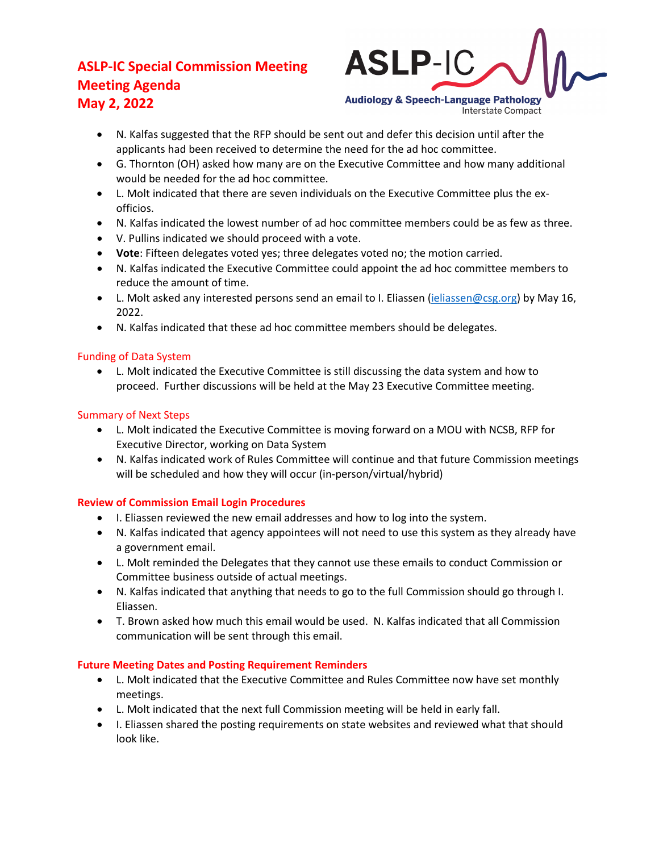

- N. Kalfas suggested that the RFP should be sent out and defer this decision until after the applicants had been received to determine the need for the ad hoc committee.
- G. Thornton (OH) asked how many are on the Executive Committee and how many additional would be needed for the ad hoc committee.
- L. Molt indicated that there are seven individuals on the Executive Committee plus the exofficios.
- N. Kalfas indicated the lowest number of ad hoc committee members could be as few as three.
- V. Pullins indicated we should proceed with a vote.
- **Vote**: Fifteen delegates voted yes; three delegates voted no; the motion carried.
- N. Kalfas indicated the Executive Committee could appoint the ad hoc committee members to reduce the amount of time.
- L. Molt asked any interested persons send an email to I. Eliassen (ieliassen @csg.org) by May 16, 2022.
- N. Kalfas indicated that these ad hoc committee members should be delegates.

## Funding of Data System

• L. Molt indicated the Executive Committee is still discussing the data system and how to proceed. Further discussions will be held at the May 23 Executive Committee meeting.

## Summary of Next Steps

- L. Molt indicated the Executive Committee is moving forward on a MOU with NCSB, RFP for Executive Director, working on Data System
- N. Kalfas indicated work of Rules Committee will continue and that future Commission meetings will be scheduled and how they will occur (in-person/virtual/hybrid)

## **Review of Commission Email Login Procedures**

- I. Eliassen reviewed the new email addresses and how to log into the system.
- N. Kalfas indicated that agency appointees will not need to use this system as they already have a government email.
- L. Molt reminded the Delegates that they cannot use these emails to conduct Commission or Committee business outside of actual meetings.
- N. Kalfas indicated that anything that needs to go to the full Commission should go through I. Eliassen.
- T. Brown asked how much this email would be used. N. Kalfas indicated that all Commission communication will be sent through this email.

## **Future Meeting Dates and Posting Requirement Reminders**

- L. Molt indicated that the Executive Committee and Rules Committee now have set monthly meetings.
- L. Molt indicated that the next full Commission meeting will be held in early fall.
- I. Eliassen shared the posting requirements on state websites and reviewed what that should look like.